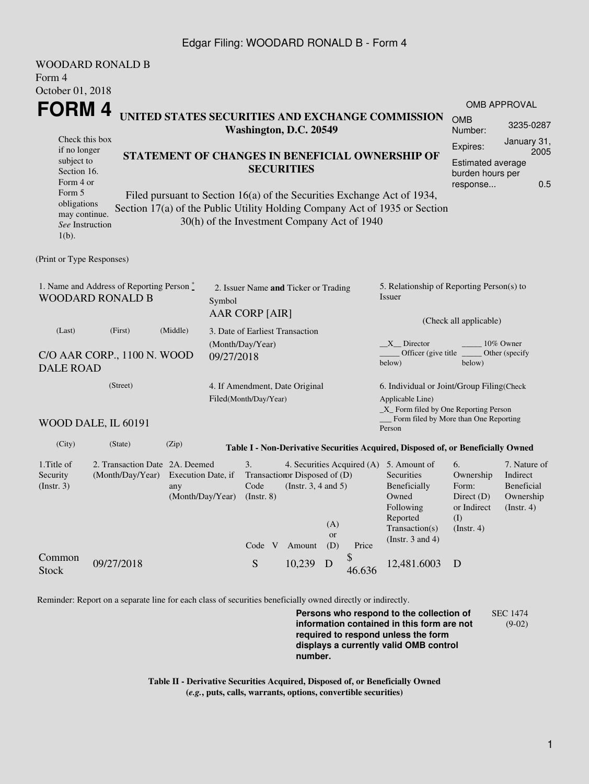#### Edgar Filing: WOODARD RONALD B - Form 4

|                                                                                    | <b>WOODARD RONALD B</b>                            |                                                                      |                                                                         |                                                                   |                         |                                                                                                                    |                                                                                                                                                       |                                                                               |                                                                    |  |
|------------------------------------------------------------------------------------|----------------------------------------------------|----------------------------------------------------------------------|-------------------------------------------------------------------------|-------------------------------------------------------------------|-------------------------|--------------------------------------------------------------------------------------------------------------------|-------------------------------------------------------------------------------------------------------------------------------------------------------|-------------------------------------------------------------------------------|--------------------------------------------------------------------|--|
| Form 4                                                                             |                                                    |                                                                      |                                                                         |                                                                   |                         |                                                                                                                    |                                                                                                                                                       |                                                                               |                                                                    |  |
| October 01, 2018                                                                   |                                                    |                                                                      |                                                                         |                                                                   |                         |                                                                                                                    |                                                                                                                                                       |                                                                               | <b>OMB APPROVAL</b>                                                |  |
| FORM 4                                                                             |                                                    |                                                                      |                                                                         | Washington, D.C. 20549                                            |                         |                                                                                                                    | UNITED STATES SECURITIES AND EXCHANGE COMMISSION                                                                                                      | <b>OMB</b><br>Number:                                                         | 3235-0287                                                          |  |
| Check this box<br>if no longer<br>subject to<br>Section 16.                        |                                                    | STATEMENT OF CHANGES IN BENEFICIAL OWNERSHIP OF<br><b>SECURITIES</b> |                                                                         |                                                                   |                         |                                                                                                                    | January 31,<br>Expires:<br>2005<br>Estimated average<br>burden hours per                                                                              |                                                                               |                                                                    |  |
| Form 4 or<br>Form 5<br>obligations<br>may continue.<br>See Instruction<br>$1(b)$ . |                                                    |                                                                      | 30(h) of the Investment Company Act of 1940                             |                                                                   |                         |                                                                                                                    | Filed pursuant to Section 16(a) of the Securities Exchange Act of 1934,<br>Section 17(a) of the Public Utility Holding Company Act of 1935 or Section | response                                                                      | 0.5                                                                |  |
| (Print or Type Responses)                                                          |                                                    |                                                                      |                                                                         |                                                                   |                         |                                                                                                                    |                                                                                                                                                       |                                                                               |                                                                    |  |
| 1. Name and Address of Reporting Person $\degree$<br><b>WOODARD RONALD B</b>       |                                                    |                                                                      | 2. Issuer Name and Ticker or Trading<br>Symbol<br><b>AAR CORP [AIR]</b> |                                                                   |                         |                                                                                                                    | 5. Relationship of Reporting Person(s) to<br>Issuer                                                                                                   |                                                                               |                                                                    |  |
| (Middle)<br>(Last)<br>(First)<br>C/O AAR CORP., 1100 N. WOOD<br><b>DALE ROAD</b>   |                                                    |                                                                      | 3. Date of Earliest Transaction<br>(Month/Day/Year)<br>09/27/2018       |                                                                   |                         | (Check all applicable)<br>10% Owner<br>$X$ Director<br>Officer (give title)<br>Other (specify)<br>below)<br>below) |                                                                                                                                                       |                                                                               |                                                                    |  |
| (Street)                                                                           |                                                    |                                                                      | Filed(Month/Day/Year)                                                   | 4. If Amendment, Date Original                                    |                         |                                                                                                                    | 6. Individual or Joint/Group Filing(Check<br>Applicable Line)<br>$\_X$ Form filed by One Reporting Person                                             |                                                                               |                                                                    |  |
|                                                                                    | WOOD DALE, IL 60191                                |                                                                      |                                                                         |                                                                   |                         |                                                                                                                    | Form filed by More than One Reporting<br>Person                                                                                                       |                                                                               |                                                                    |  |
| (City)                                                                             | (State)                                            | (Zip)                                                                |                                                                         |                                                                   |                         |                                                                                                                    | Table I - Non-Derivative Securities Acquired, Disposed of, or Beneficially Owned                                                                      |                                                                               |                                                                    |  |
| 1.Title of<br>Security<br>(Insert. 3)                                              | 2. Transaction Date 2A. Deemed<br>(Month/Day/Year) | Execution Date, if<br>any<br>(Month/Day/Year)                        | 3.<br>Code<br>$($ Instr. 8 $)$<br>Code V                                | Transaction Disposed of (D)<br>(Instr. $3, 4$ and $5$ )<br>Amount | (A)<br><b>or</b><br>(D) | Price                                                                                                              | 4. Securities Acquired (A) 5. Amount of<br>Securities<br>Beneficially<br>Owned<br>Following<br>Reported<br>Transaction(s)<br>(Instr. $3$ and $4$ )    | 6.<br>Ownership<br>Form:<br>Direct $(D)$<br>or Indirect<br>(I)<br>(Insert. 4) | 7. Nature of<br>Indirect<br>Beneficial<br>Ownership<br>(Insert. 4) |  |
| Common<br><b>Stock</b>                                                             | 09/27/2018                                         |                                                                      | S                                                                       | 10,239                                                            | D                       | \$<br>46.636                                                                                                       | 12,481.6003                                                                                                                                           | D                                                                             |                                                                    |  |

Reminder: Report on a separate line for each class of securities beneficially owned directly or indirectly.

**Persons who respond to the collection of information contained in this form are not required to respond unless the form displays a currently valid OMB control number.** SEC 1474 (9-02)

**Table II - Derivative Securities Acquired, Disposed of, or Beneficially Owned (***e.g.***, puts, calls, warrants, options, convertible securities)**